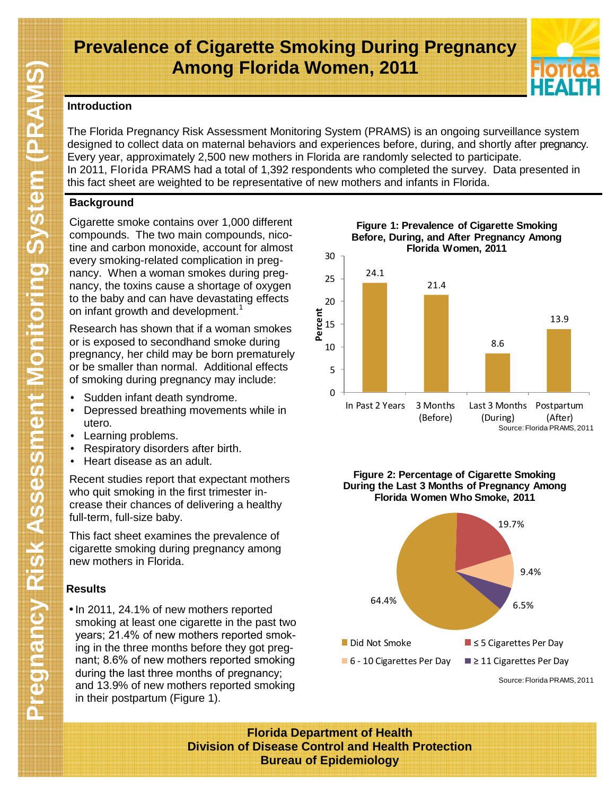# **Prevalence of Cigarette Smoking During Pregnancy Among Florida Women, 2011**



### **Introduction**

The Florida Pregnancy Risk Assessment Monitoring System (PRAMS) is an ongoing surveillance system designed to collect data on maternal behaviors and experiences before, during, and shortly after pregnancy. Every year, approximately 2,500 new mothers in Florida are randomly selected to participate. In 2011, Florida PRAMS had a total of 1,392 respondents who completed the survey. Data presented in this fact sheet are weighted to be representative of new mothers and infants in Florida.

# **Background**

Cigarette smoke contains over 1,000 different compounds. The two main compounds, nicotine and carbon monoxide, account for almost every smoking-related complication in pregnancy. When a woman smokes during pregnancy, the toxins cause a shortage of oxygen to the baby and can have devastating effects on infant growth and development.<sup>1</sup>

Research has shown that if a woman smokes or is exposed to secondhand smoke during pregnancy, her child may be born prematurely or be smaller than normal. Additional effects of smoking during pregnancy may include:

- Sudden infant death syndrome.
- Depressed breathing movements while in utero.
- Learning problems.
- Respiratory disorders after birth.
- Heart disease as an adult.

Recent studies report that expectant mothers who quit smoking in the first trimester increase their chances of delivering a healthy full-term, full-size baby.

This fact sheet examines the prevalence of cigarette smoking during pregnancy among new mothers in Florida.

# **Results**

• In 2011, 24.1% of new mothers reported smoking at least one cigarette in the past two years; 21.4% of new mothers reported smoking in the three months before they got pregnant; 8.6% of new mothers reported smoking during the last three months of pregnancy; and 13.9% of new mothers reported smoking in their postpartum (Figure 1).

**Figure 1: Prevalence of Cigarette Smoking Before, During, and After Pregnancy Among Florida Women, 2011**



**Figure 2: Percentage of Cigarette Smoking Figure 2: Percentage of Cigarette Smoking** <br>During the Last 3 Months of Pregnancy Among **Florida Women Who Smoke, 2011**



Source: Florida PRAMS, 2011 Source: Florida PRAMS, 2011

**Florida Department of Health Division of Disease Control and Health Protection Bureau of Epidemiology**